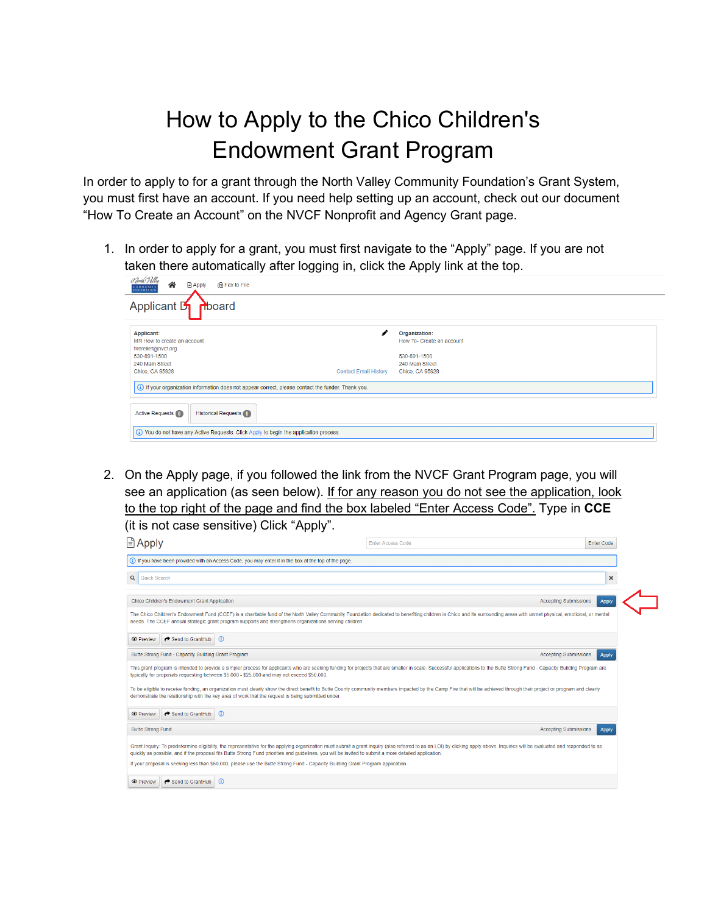## How to Apply to the Chico Children's Endowment Grant Program

In order to apply to for a grant through the North Valley Community Foundation's Grant System, you must first have an account. If you need help setting up an account, check out our document "How To Create an Account" on the NVCF Nonprofit and Agency Grant page.

1. In order to apply for a grant, you must first navigate to the "Apply" page. If you are not taken there automatically after logging in, click the Apply link at the top.

| Porth <i>V</i> alley<br>谷<br><b>■</b> Apply<br><b>品Fax to File</b><br><b>COMMUNITY</b><br><b>FOUNDATION</b> |                                                 |
|-------------------------------------------------------------------------------------------------------------|-------------------------------------------------|
| Applicant D<br>nboard                                                                                       |                                                 |
|                                                                                                             |                                                 |
| <b>Applicant:</b>                                                                                           | Organization:                                   |
| MR How to create an account<br>firerelief@nvcf.org                                                          | How To- Create an account                       |
| 530-891-1500                                                                                                | 530-891-1500                                    |
| 240 Main Street                                                                                             | 240 Main Street                                 |
| Chico, CA 95928                                                                                             | <b>Contact Email History</b><br>Chico, CA 95928 |
| (i) If your organization information does not appear correct, please contact the funder. Thank you.         |                                                 |
| <b>Historical Requests 0</b><br><b>Active Requests (0)</b>                                                  |                                                 |
| (i) You do not have any Active Requests. Click Apply to begin the application process.                      |                                                 |

2. On the Apply page, if you followed the link from the NVCF Grant Program page, you will see an application (as seen below). If for any reason you do not see the application, look to the top right of the page and find the box labeled "Enter Access Code". Type in **CCE** (it is not case sensitive) Click "Apply".

| <b>■ Apply</b>                                                                                                                                                                                                                                                                                                                                                                          | <b>Enter Access Code</b>     | <b>Enter Code</b> |
|-----------------------------------------------------------------------------------------------------------------------------------------------------------------------------------------------------------------------------------------------------------------------------------------------------------------------------------------------------------------------------------------|------------------------------|-------------------|
| (i) If you have been provided with an Access Code, you may enter it in the box at the top of the page.                                                                                                                                                                                                                                                                                  |                              |                   |
| Q<br>Quick Search                                                                                                                                                                                                                                                                                                                                                                       |                              | $\times$          |
| Chico Children's Endowment Grant Application                                                                                                                                                                                                                                                                                                                                            | <b>Accepting Submissions</b> | Apply             |
| The Chico Children's Endowment Fund (CCEF) is a charitable fund of the North Valley Community Foundation dedicated to benefiting children in Chico and its surrounding areas with unmet physical, emotional, or mental<br>needs. The CCEF annual strategic grant program supports and strengthens organizations serving children.                                                       |                              |                   |
| $\leftrightarrow$ Send to GrantHub<br>$\omega$<br><b>O</b> Preview                                                                                                                                                                                                                                                                                                                      |                              |                   |
| Butte Strong Fund - Capacity Building Grant Program                                                                                                                                                                                                                                                                                                                                     | <b>Accepting Submissions</b> | <b>Apply</b>      |
| This grant program is intended to provide a simpler process for applicants who are seeking funding for projects that are smaller in scale. Successful applications to the Butte Strong Fund - Capacity Building Program are<br>typically for proposals requesting between \$5,000 - \$25,000 and may not exceed \$50,000.                                                               |                              |                   |
| To be eligible to receive funding, an organization must clearly show the direct benefit to Butte County community members impacted by the Camp Fire that will be achieved through their project or program and clearly<br>demonstrate the relationship with the key area of work that the request is being submitted under.                                                             |                              |                   |
| Send to GrantHub<br>$\Omega$<br><b>O</b> Preview                                                                                                                                                                                                                                                                                                                                        |                              |                   |
| <b>Butte Strong Fund</b>                                                                                                                                                                                                                                                                                                                                                                | <b>Accepting Submissions</b> | Apply             |
| Grant Inquiry: To predetermine eligibility, the representative for the applying organization must submit a grant inquiry (also referred to as an LOI) by clicking apply above. Inquiries will be evaluated and responded to as<br>quickly as possible, and if the proposal fits Butte Strong Fund priorities and quidelines, you will be invited to submit a more detailed application. |                              |                   |
| If your proposal is seeking less than \$50,000, please use the Butte Strong Fund - Capacity Building Grant Program application.                                                                                                                                                                                                                                                         |                              |                   |
| Send to GrantHub<br>$\omega$<br><b>O</b> Preview                                                                                                                                                                                                                                                                                                                                        |                              |                   |